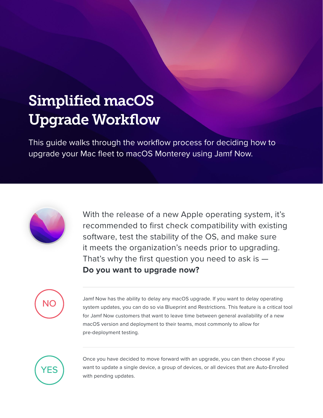## Simplified macOS Upgrade Workflow

This guide walks through the workflow process for deciding how to upgrade your Mac fleet to macOS Monterey using Jamf Now.



With the release of a new Apple operating system, it's recommended to first check compatibility with existing software, test the stability of the OS, and make sure it meets the organization's needs prior to upgrading. That's why the first question you need to ask is  $-$ **Do you want to upgrade now?**



Jamf Now has the ability to delay any macOS upgrade. If you want to delay operating system updates, you can do so via Blueprint and Restrictions. This feature is a critical tool for Jamf Now customers that want to leave time between general availability of a new macOS version and deployment to their teams, most commonly to allow for pre-deployment testing.



Once you have decided to move forward with an upgrade, you can then choose if you want to update a single device, a group of devices, or all devices that are Auto-Enrolled with pending updates.